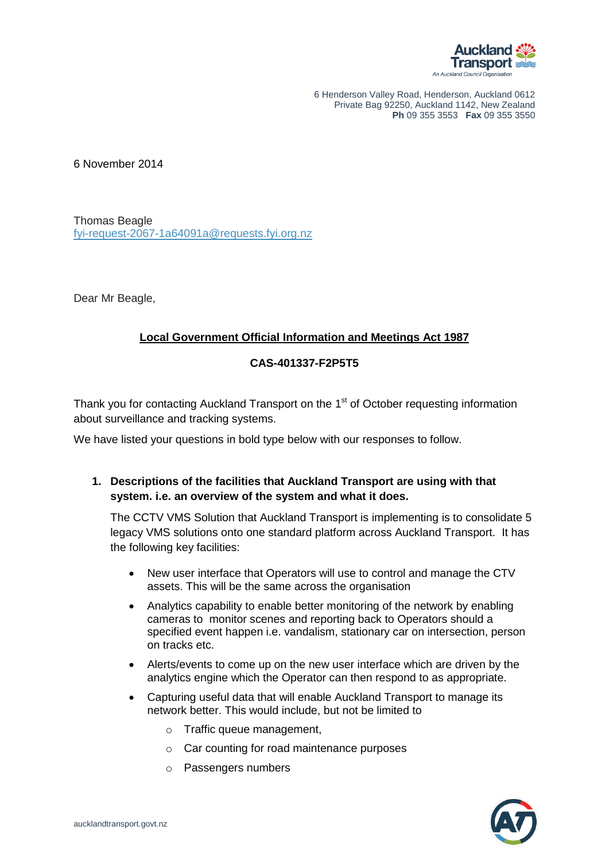

6 Henderson Valley Road, Henderson, Auckland 0612 Private Bag 92250, Auckland 1142, New Zealand **Ph** 09 355 3553 **Fax** 09 355 3550

6 November 2014

Thomas Beagle [fyi-request-2067-1a64091a@requests.fyi.org.nz](mailto:xxxxxxxxxxxxxxxxxxxxxxxxx@xxxxxxxx.xxx.xxx.xx)

Dear Mr Beagle,

#### **Local Government Official Information and Meetings Act 1987**

#### **CAS-401337-F2P5T5**

Thank you for contacting Auckland Transport on the 1<sup>st</sup> of October requesting information about surveillance and tracking systems.

We have listed your questions in bold type below with our responses to follow.

#### **1. Descriptions of the facilities that Auckland Transport are using with that system. i.e. an overview of the system and what it does.**

The CCTV VMS Solution that Auckland Transport is implementing is to consolidate 5 legacy VMS solutions onto one standard platform across Auckland Transport. It has the following key facilities:

- New user interface that Operators will use to control and manage the CTV assets. This will be the same across the organisation
- Analytics capability to enable better monitoring of the network by enabling cameras to monitor scenes and reporting back to Operators should a specified event happen i.e. vandalism, stationary car on intersection, person on tracks etc.
- Alerts/events to come up on the new user interface which are driven by the analytics engine which the Operator can then respond to as appropriate.
- Capturing useful data that will enable Auckland Transport to manage its network better. This would include, but not be limited to
	- o Traffic queue management,
	- o Car counting for road maintenance purposes
	- o Passengers numbers

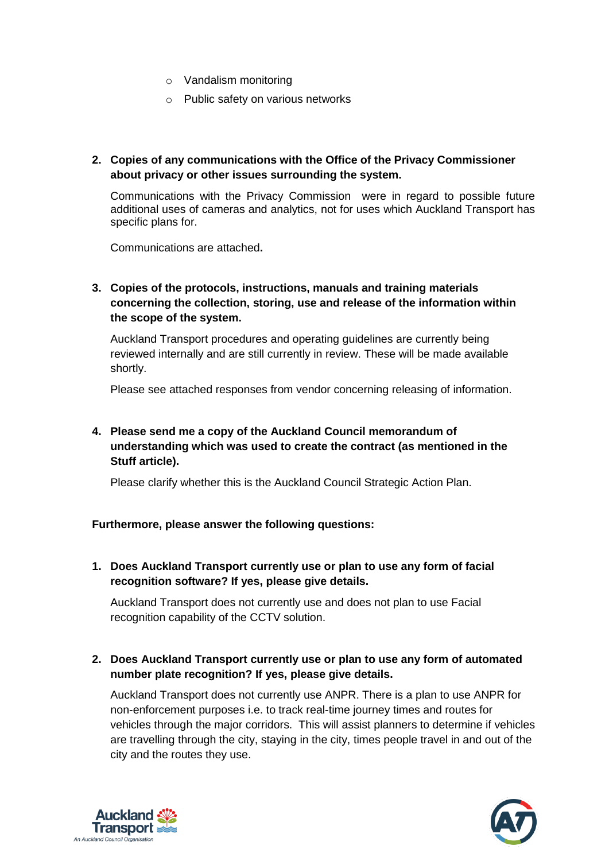- o Vandalism monitoring
- o Public safety on various networks

### **2. Copies of any communications with the Office of the Privacy Commissioner about privacy or other issues surrounding the system.**

Communications with the Privacy Commission were in regard to possible future additional uses of cameras and analytics, not for uses which Auckland Transport has specific plans for.

Communications are attached**.**

# **3. Copies of the protocols, instructions, manuals and training materials concerning the collection, storing, use and release of the information within the scope of the system.**

Auckland Transport procedures and operating guidelines are currently being reviewed internally and are still currently in review. These will be made available shortly.

Please see attached responses from vendor concerning releasing of information.

# **4. Please send me a copy of the Auckland Council memorandum of understanding which was used to create the contract (as mentioned in the Stuff article).**

Please clarify whether this is the Auckland Council Strategic Action Plan.

## **Furthermore, please answer the following questions:**

**1. Does Auckland Transport currently use or plan to use any form of facial recognition software? If yes, please give details.**

Auckland Transport does not currently use and does not plan to use Facial recognition capability of the CCTV solution.

**2. Does Auckland Transport currently use or plan to use any form of automated number plate recognition? If yes, please give details.**

Auckland Transport does not currently use ANPR. There is a plan to use ANPR for non-enforcement purposes i.e. to track real-time journey times and routes for vehicles through the major corridors. This will assist planners to determine if vehicles are travelling through the city, staying in the city, times people travel in and out of the city and the routes they use.



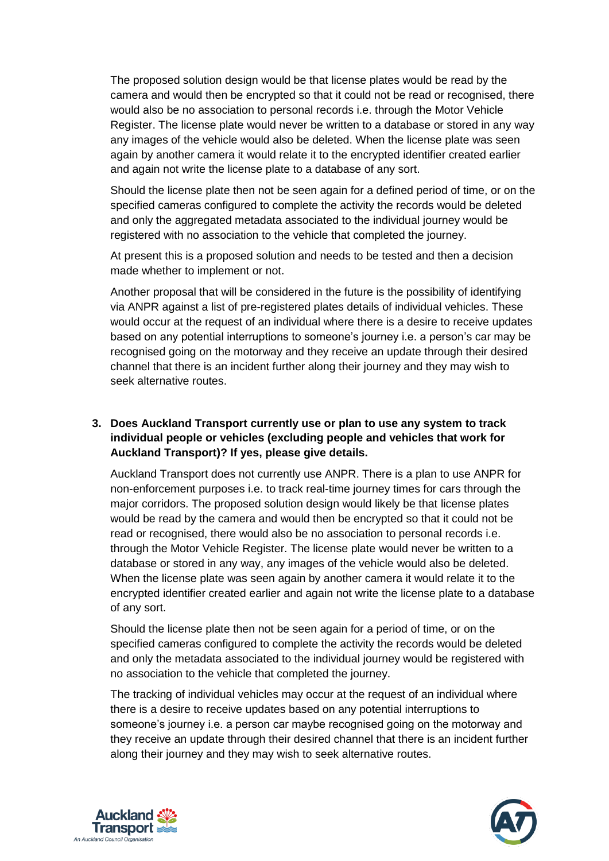The proposed solution design would be that license plates would be read by the camera and would then be encrypted so that it could not be read or recognised, there would also be no association to personal records i.e. through the Motor Vehicle Register. The license plate would never be written to a database or stored in any way any images of the vehicle would also be deleted. When the license plate was seen again by another camera it would relate it to the encrypted identifier created earlier and again not write the license plate to a database of any sort.

Should the license plate then not be seen again for a defined period of time, or on the specified cameras configured to complete the activity the records would be deleted and only the aggregated metadata associated to the individual journey would be registered with no association to the vehicle that completed the journey.

At present this is a proposed solution and needs to be tested and then a decision made whether to implement or not.

Another proposal that will be considered in the future is the possibility of identifying via ANPR against a list of pre-registered plates details of individual vehicles. These would occur at the request of an individual where there is a desire to receive updates based on any potential interruptions to someone's journey i.e. a person's car may be recognised going on the motorway and they receive an update through their desired channel that there is an incident further along their journey and they may wish to seek alternative routes.

## **3. Does Auckland Transport currently use or plan to use any system to track individual people or vehicles (excluding people and vehicles that work for Auckland Transport)? If yes, please give details.**

Auckland Transport does not currently use ANPR. There is a plan to use ANPR for non-enforcement purposes i.e. to track real-time journey times for cars through the major corridors. The proposed solution design would likely be that license plates would be read by the camera and would then be encrypted so that it could not be read or recognised, there would also be no association to personal records i.e. through the Motor Vehicle Register. The license plate would never be written to a database or stored in any way, any images of the vehicle would also be deleted. When the license plate was seen again by another camera it would relate it to the encrypted identifier created earlier and again not write the license plate to a database of any sort.

Should the license plate then not be seen again for a period of time, or on the specified cameras configured to complete the activity the records would be deleted and only the metadata associated to the individual journey would be registered with no association to the vehicle that completed the journey.

The tracking of individual vehicles may occur at the request of an individual where there is a desire to receive updates based on any potential interruptions to someone's journey i.e. a person car maybe recognised going on the motorway and they receive an update through their desired channel that there is an incident further along their journey and they may wish to seek alternative routes.



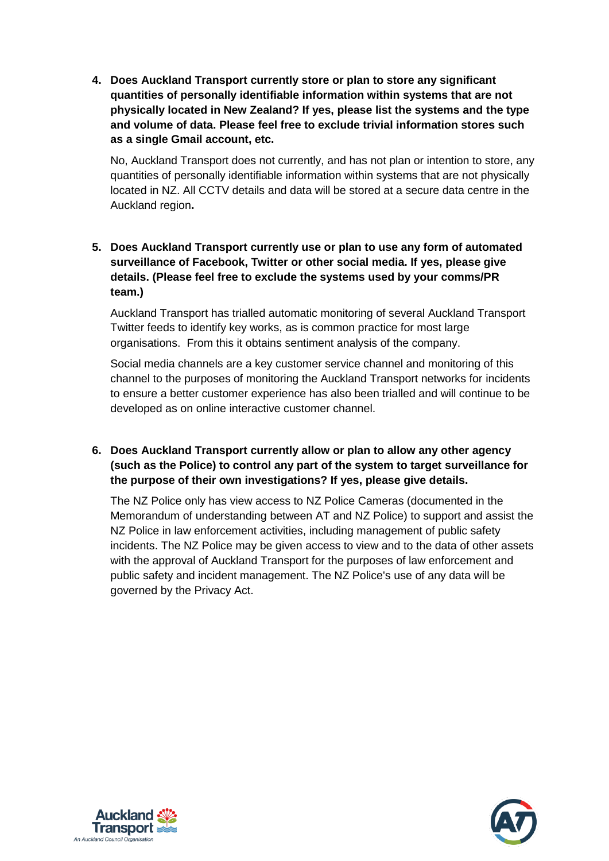**4. Does Auckland Transport currently store or plan to store any significant quantities of personally identifiable information within systems that are not physically located in New Zealand? If yes, please list the systems and the type and volume of data. Please feel free to exclude trivial information stores such as a single Gmail account, etc.**

No, Auckland Transport does not currently, and has not plan or intention to store, any quantities of personally identifiable information within systems that are not physically located in NZ. All CCTV details and data will be stored at a secure data centre in the Auckland region**.**

# **5. Does Auckland Transport currently use or plan to use any form of automated surveillance of Facebook, Twitter or other social media. If yes, please give details. (Please feel free to exclude the systems used by your comms/PR team.)**

Auckland Transport has trialled automatic monitoring of several Auckland Transport Twitter feeds to identify key works, as is common practice for most large organisations. From this it obtains sentiment analysis of the company.

Social media channels are a key customer service channel and monitoring of this channel to the purposes of monitoring the Auckland Transport networks for incidents to ensure a better customer experience has also been trialled and will continue to be developed as on online interactive customer channel.

## **6. Does Auckland Transport currently allow or plan to allow any other agency (such as the Police) to control any part of the system to target surveillance for the purpose of their own investigations? If yes, please give details.**

The NZ Police only has view access to NZ Police Cameras (documented in the Memorandum of understanding between AT and NZ Police) to support and assist the NZ Police in law enforcement activities, including management of public safety incidents. The NZ Police may be given access to view and to the data of other assets with the approval of Auckland Transport for the purposes of law enforcement and public safety and incident management. The NZ Police's use of any data will be governed by the Privacy Act.